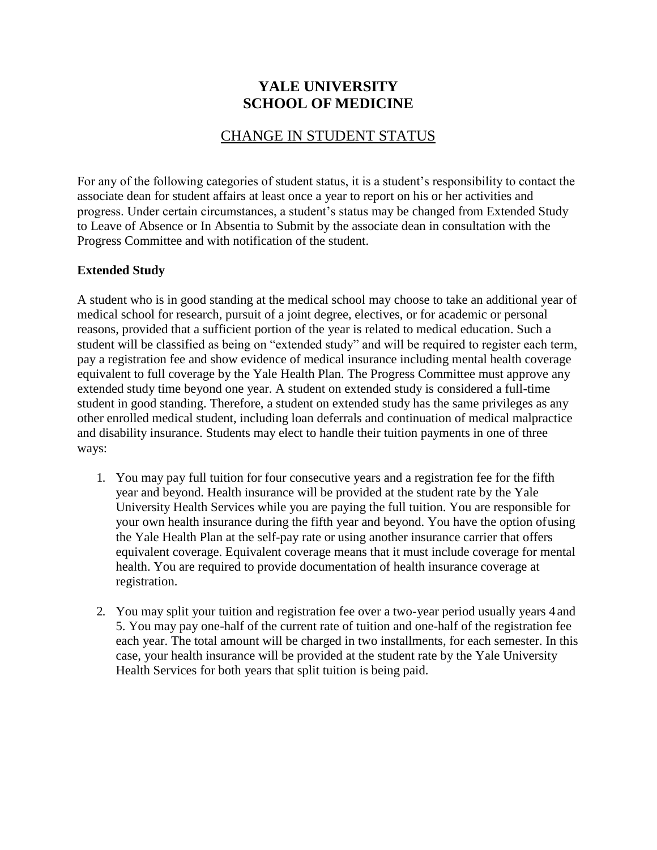## **YALE UNIVERSITY SCHOOL OF MEDICINE**

### CHANGE IN STUDENT STATUS

For any of the following categories of student status, it is a student's responsibility to contact the associate dean for student affairs at least once a year to report on his or her activities and progress. Under certain circumstances, a student's status may be changed from Extended Study to Leave of Absence or In Absentia to Submit by the associate dean in consultation with the Progress Committee and with notification of the student.

#### **Extended Study**

A student who is in good standing at the medical school may choose to take an additional year of medical school for research, pursuit of a joint degree, electives, or for academic or personal reasons, provided that a sufficient portion of the year is related to medical education. Such a student will be classified as being on "extended study" and will be required to register each term, pay a registration fee and show evidence of medical insurance including mental health coverage equivalent to full coverage by the Yale Health Plan. The Progress Committee must approve any extended study time beyond one year. A student on extended study is considered a full-time student in good standing. Therefore, a student on extended study has the same privileges as any other enrolled medical student, including loan deferrals and continuation of medical malpractice and disability insurance. Students may elect to handle their tuition payments in one of three ways:

- 1. You may pay full tuition for four consecutive years and a registration fee for the fifth year and beyond. Health insurance will be provided at the student rate by the Yale University Health Services while you are paying the full tuition. You are responsible for your own health insurance during the fifth year and beyond. You have the option ofusing the Yale Health Plan at the self-pay rate or using another insurance carrier that offers equivalent coverage. Equivalent coverage means that it must include coverage for mental health. You are required to provide documentation of health insurance coverage at registration.
- 2. You may split your tuition and registration fee over a two-year period usually years 4 and 5. You may pay one-half of the current rate of tuition and one-half of the registration fee each year. The total amount will be charged in two installments, for each semester. In this case, your health insurance will be provided at the student rate by the Yale University Health Services for both years that split tuition is being paid.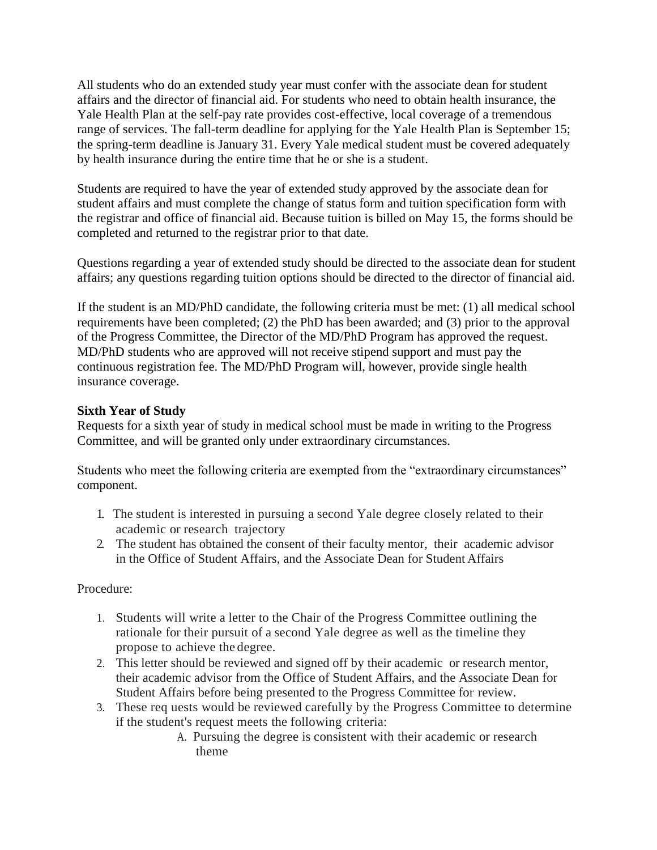All students who do an extended study year must confer with the associate dean for student affairs and the director of financial aid. For students who need to obtain health insurance, the Yale Health Plan at the self-pay rate provides cost-effective, local coverage of a tremendous range of services. The fall-term deadline for applying for the Yale Health Plan is September 15; the spring-term deadline is January 31. Every Yale medical student must be covered adequately by health insurance during the entire time that he or she is a student.

Students are required to have the year of extended study approved by the associate dean for student affairs and must complete the change of status form and tuition specification form with the registrar and office of financial aid. Because tuition is billed on May 15, the forms should be completed and returned to the registrar prior to that date.

Questions regarding a year of extended study should be directed to the associate dean for student affairs; any questions regarding tuition options should be directed to the director of financial aid.

If the student is an MD/PhD candidate, the following criteria must be met: (1) all medical school requirements have been completed; (2) the PhD has been awarded; and (3) prior to the approval of the Progress Committee, the Director of the MD/PhD Program has approved the request. MD/PhD students who are approved will not receive stipend support and must pay the continuous registration fee. The MD/PhD Program will, however, provide single health insurance coverage.

#### **Sixth Year of Study**

Requests for a sixth year of study in medical school must be made in writing to the Progress Committee, and will be granted only under extraordinary circumstances.

Students who meet the following criteria are exempted from the "extraordinary circumstances" component.

- 1. The student is interested in pursuing a second Yale degree closely related to their academic or research trajectory
- 2. The student has obtained the consent of their faculty mentor, their academic advisor in the Office of Student Affairs, and the Associate Dean for Student Affairs

Procedure:

- 1. Students will write a letter to the Chair of the Progress Committee outlining the rationale for their pursuit of a second Yale degree as well as the timeline they propose to achieve the degree.
- 2. This letter should be reviewed and signed off by their academic or research mentor, their academic advisor from the Office of Student Affairs, and the Associate Dean for Student Affairs before being presented to the Progress Committee for review.
- 3. These req uests would be reviewed carefully by the Progress Committee to determine if the student's request meets the following criteria:
	- A. Pursuing the degree is consistent with their academic or research theme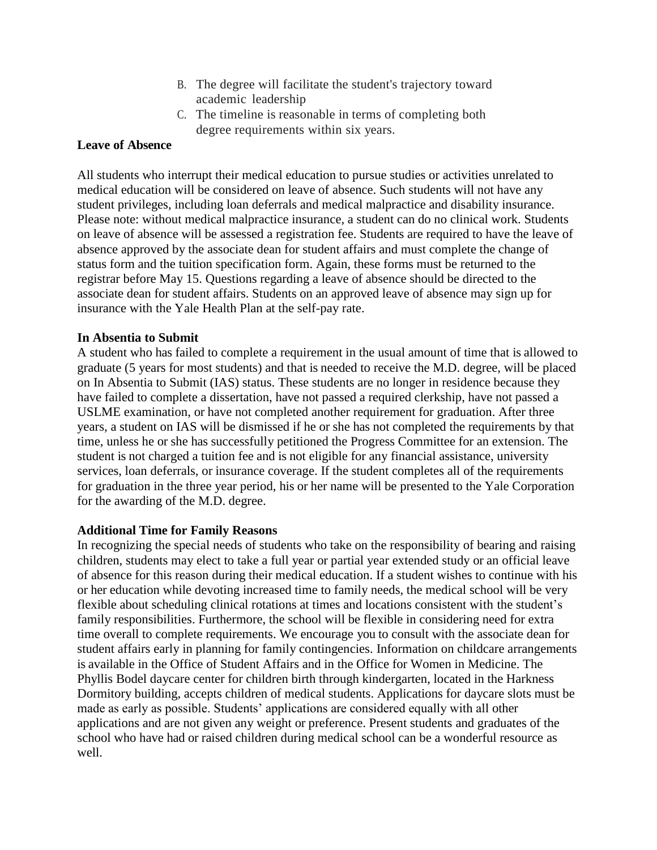- B. The degree will facilitate the student's trajectory toward academic leadership
- C. The timeline is reasonable in terms of completing both degree requirements within six years.

#### **Leave of Absence**

All students who interrupt their medical education to pursue studies or activities unrelated to medical education will be considered on leave of absence. Such students will not have any student privileges, including loan deferrals and medical malpractice and disability insurance. Please note: without medical malpractice insurance, a student can do no clinical work. Students on leave of absence will be assessed a registration fee. Students are required to have the leave of absence approved by the associate dean for student affairs and must complete the change of status form and the tuition specification form. Again, these forms must be returned to the registrar before May 15. Questions regarding a leave of absence should be directed to the associate dean for student affairs. Students on an approved leave of absence may sign up for insurance with the Yale Health Plan at the self-pay rate.

#### **In Absentia to Submit**

A student who has failed to complete a requirement in the usual amount of time that is allowed to graduate (5 years for most students) and that is needed to receive the M.D. degree, will be placed on In Absentia to Submit (IAS) status. These students are no longer in residence because they have failed to complete a dissertation, have not passed a required clerkship, have not passed a USLME examination, or have not completed another requirement for graduation. After three years, a student on IAS will be dismissed if he or she has not completed the requirements by that time, unless he or she has successfully petitioned the Progress Committee for an extension. The student is not charged a tuition fee and is not eligible for any financial assistance, university services, loan deferrals, or insurance coverage. If the student completes all of the requirements for graduation in the three year period, his or her name will be presented to the Yale Corporation for the awarding of the M.D. degree.

#### **Additional Time for Family Reasons**

In recognizing the special needs of students who take on the responsibility of bearing and raising children, students may elect to take a full year or partial year extended study or an official leave of absence for this reason during their medical education. If a student wishes to continue with his or her education while devoting increased time to family needs, the medical school will be very flexible about scheduling clinical rotations at times and locations consistent with the student's family responsibilities. Furthermore, the school will be flexible in considering need for extra time overall to complete requirements. We encourage you to consult with the associate dean for student affairs early in planning for family contingencies. Information on childcare arrangements is available in the Office of Student Affairs and in the Office for Women in Medicine. The Phyllis Bodel daycare center for children birth through kindergarten, located in the Harkness Dormitory building, accepts children of medical students. Applications for daycare slots must be made as early as possible. Students' applications are considered equally with all other applications and are not given any weight or preference. Present students and graduates of the school who have had or raised children during medical school can be a wonderful resource as well.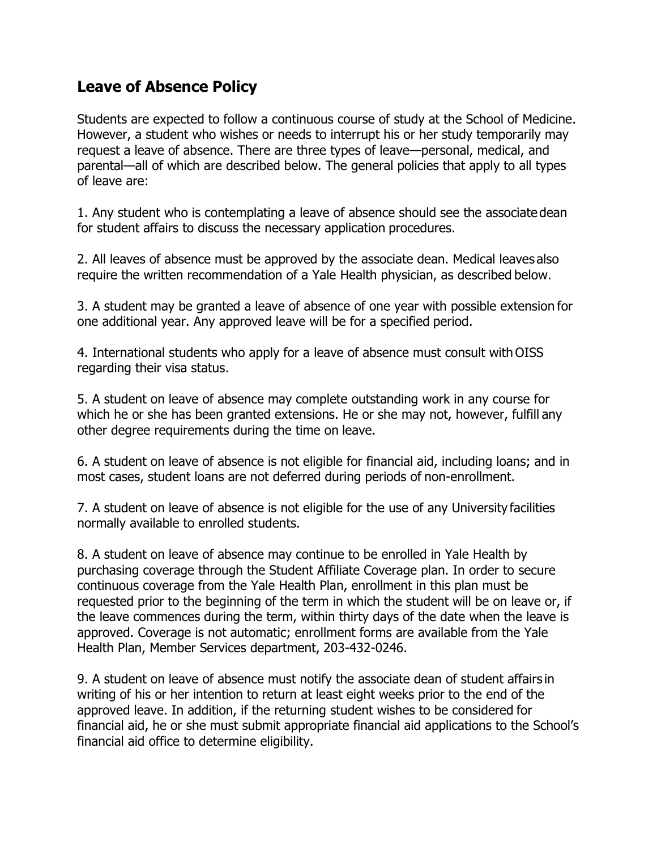# **Leave of Absence Policy**

Students are expected to follow a continuous course of study at the School of Medicine. However, a student who wishes or needs to interrupt his or her study temporarily may request a leave of absence. There are three types of leave—personal, medical, and parental—all of which are described below. The general policies that apply to all types of leave are:

1. Any student who is contemplating a leave of absence should see the associate dean for student affairs to discuss the necessary application procedures.

2. All leaves of absence must be approved by the associate dean. Medical leaves also require the written recommendation of a Yale Health physician, as described below.

3. A student may be granted a leave of absence of one year with possible extension for one additional year. Any approved leave will be for a specified period.

4. International students who apply for a leave of absence must consult with OISS regarding their visa status.

5. A student on leave of absence may complete outstanding work in any course for which he or she has been granted extensions. He or she may not, however, fulfill any other degree requirements during the time on leave.

6. A student on leave of absence is not eligible for financial aid, including loans; and in most cases, student loans are not deferred during periods of non-enrollment.

7. A student on leave of absence is not eligible for the use of any University facilities normally available to enrolled students.

8. A student on leave of absence may continue to be enrolled in Yale Health by purchasing coverage through the Student Affiliate Coverage plan. In order to secure continuous coverage from the Yale Health Plan, enrollment in this plan must be requested prior to the beginning of the term in which the student will be on leave or, if the leave commences during the term, within thirty days of the date when the leave is approved. Coverage is not automatic; enrollment forms are available from the Yale Health Plan, Member Services department, 203-432-0246.

9. A student on leave of absence must notify the associate dean of student affairs in writing of his or her intention to return at least eight weeks prior to the end of the approved leave. In addition, if the returning student wishes to be considered for financial aid, he or she must submit appropriate financial aid applications to the School's financial aid office to determine eligibility.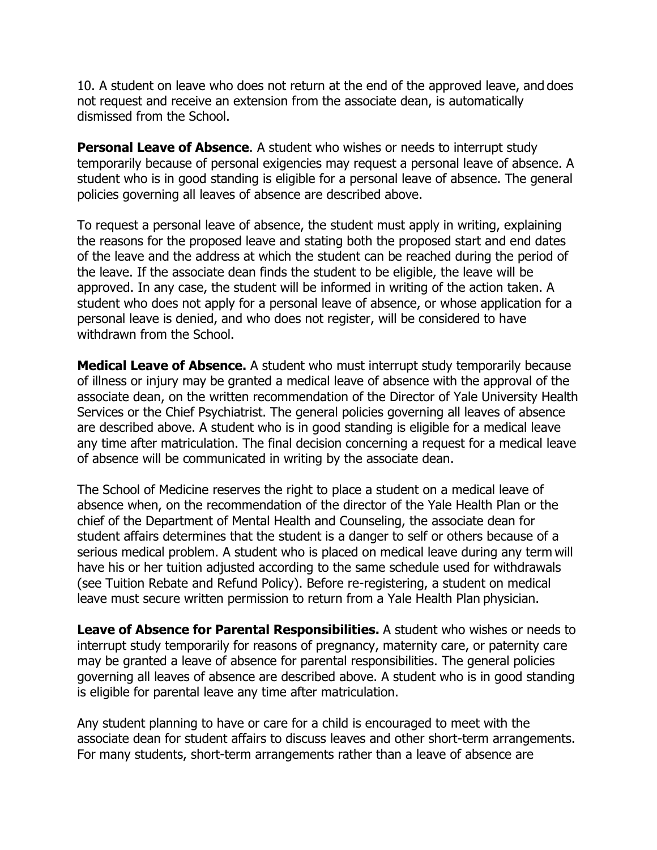10. A student on leave who does not return at the end of the approved leave, and does not request and receive an extension from the associate dean, is automatically dismissed from the School.

**Personal Leave of Absence**. A student who wishes or needs to interrupt study temporarily because of personal exigencies may request a personal leave of absence. A student who is in good standing is eligible for a personal leave of absence. The general policies governing all leaves of absence are described above.

To request a personal leave of absence, the student must apply in writing, explaining the reasons for the proposed leave and stating both the proposed start and end dates of the leave and the address at which the student can be reached during the period of the leave. If the associate dean finds the student to be eligible, the leave will be approved. In any case, the student will be informed in writing of the action taken. A student who does not apply for a personal leave of absence, or whose application for a personal leave is denied, and who does not register, will be considered to have withdrawn from the School.

**Medical Leave of Absence.** A student who must interrupt study temporarily because of illness or injury may be granted a medical leave of absence with the approval of the associate dean, on the written recommendation of the Director of Yale University Health Services or the Chief Psychiatrist. The general policies governing all leaves of absence are described above. A student who is in good standing is eligible for a medical leave any time after matriculation. The final decision concerning a request for a medical leave of absence will be communicated in writing by the associate dean.

The School of Medicine reserves the right to place a student on a medical leave of absence when, on the recommendation of the director of the Yale Health Plan or the chief of the Department of Mental Health and Counseling, the associate dean for student affairs determines that the student is a danger to self or others because of a serious medical problem. A student who is placed on medical leave during any term will have his or her tuition adjusted according to the same schedule used for withdrawals (see Tuition Rebate and Refund Policy). Before re-registering, a student on medical leave must secure written permission to return from a Yale Health Plan physician.

**Leave of Absence for Parental Responsibilities.** A student who wishes or needs to interrupt study temporarily for reasons of pregnancy, maternity care, or paternity care may be granted a leave of absence for parental responsibilities. The general policies governing all leaves of absence are described above. A student who is in good standing is eligible for parental leave any time after matriculation.

Any student planning to have or care for a child is encouraged to meet with the associate dean for student affairs to discuss leaves and other short-term arrangements. For many students, short-term arrangements rather than a leave of absence are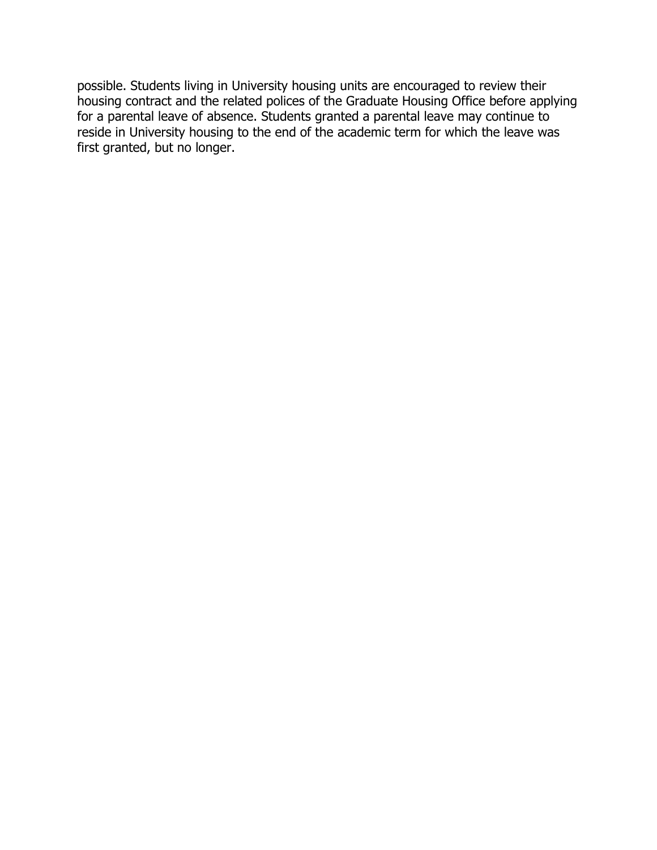possible. Students living in University housing units are encouraged to review their housing contract and the related polices of the Graduate Housing Office before applying for a parental leave of absence. Students granted a parental leave may continue to reside in University housing to the end of the academic term for which the leave was first granted, but no longer.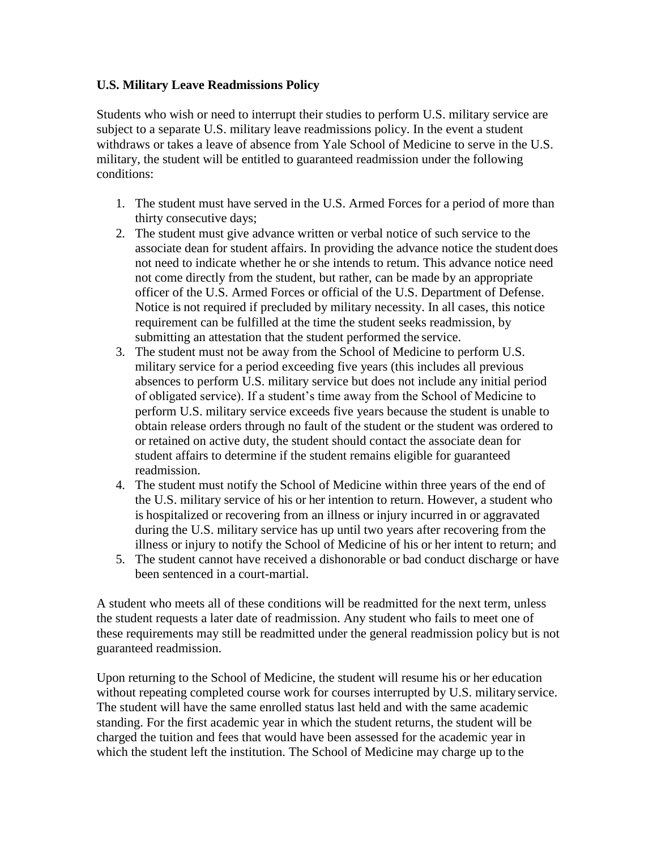#### **U.S. Military Leave Readmissions Policy**

Students who wish or need to interrupt their studies to perform U.S. military service are subject to a separate U.S. military leave readmissions policy. In the event a student withdraws or takes a leave of absence from Yale School of Medicine to serve in the U.S. military, the student will be entitled to guaranteed readmission under the following conditions:

- 1. The student must have served in the U.S. Armed Forces for a period of more than thirty consecutive days;
- 2. The student must give advance written or verbal notice of such service to the associate dean for student affairs. In providing the advance notice the student does not need to indicate whether he or she intends to retum. This advance notice need not come directly from the student, but rather, can be made by an appropriate officer of the U.S. Armed Forces or official of the U.S. Department of Defense. Notice is not required if precluded by military necessity. In all cases, this notice requirement can be fulfilled at the time the student seeks readmission, by submitting an attestation that the student performed the service.
- 3. The student must not be away from the School of Medicine to perform U.S. military service for a period exceeding five years (this includes all previous absences to perform U.S. military service but does not include any initial period of obligated service). If a student's time away from the School of Medicine to perform U.S. military service exceeds five years because the student is unable to obtain release orders through no fault of the student or the student was ordered to or retained on active duty, the student should contact the associate dean for student affairs to determine if the student remains eligible for guaranteed readmission.
- 4. The student must notify the School of Medicine within three years of the end of the U.S. military service of his or her intention to return. However, a student who is hospitalized or recovering from an illness or injury incurred in or aggravated during the U.S. military service has up until two years after recovering from the illness or injury to notify the School of Medicine of his or her intent to return; and
- 5. The student cannot have received a dishonorable or bad conduct discharge or have been sentenced in a court-martial.

A student who meets all of these conditions will be readmitted for the next term, unless the student requests a later date of readmission. Any student who fails to meet one of these requirements may still be readmitted under the general readmission policy but is not guaranteed readmission.

Upon returning to the School of Medicine, the student will resume his or her education without repeating completed course work for courses interrupted by U.S. military service. The student will have the same enrolled status last held and with the same academic standing. For the first academic year in which the student returns, the student will be charged the tuition and fees that would have been assessed for the academic year in which the student left the institution. The School of Medicine may charge up to the